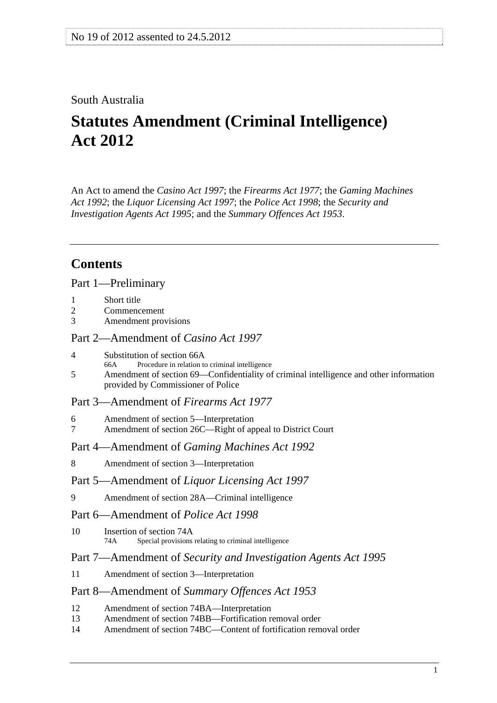## <span id="page-0-0"></span>South Australia

# **Statutes Amendment (Criminal Intelligence) Act 2012**

An Act to amend the *[Casino Act 1997](http://www.legislation.sa.gov.au/index.aspx?action=legref&type=act&legtitle=Casino%20Act%201997)*; the *[Firearms Act 1977](http://www.legislation.sa.gov.au/index.aspx?action=legref&type=act&legtitle=Firearms%20Act%201977)*; the *[Gaming Machines](http://www.legislation.sa.gov.au/index.aspx?action=legref&type=act&legtitle=Gaming%20Machines%20Act%201992)  [Act 1992](http://www.legislation.sa.gov.au/index.aspx?action=legref&type=act&legtitle=Gaming%20Machines%20Act%201992)*; the *[Liquor Licensing Act 1997](http://www.legislation.sa.gov.au/index.aspx?action=legref&type=act&legtitle=Liquor%20Licensing%20Act%201997)*; the *[Police Act 1998](http://www.legislation.sa.gov.au/index.aspx?action=legref&type=act&legtitle=Police%20Act%201998)*; the *[Security and](http://www.legislation.sa.gov.au/index.aspx?action=legref&type=act&legtitle=Security%20and%20Investigation%20Agents%20Act%201995)  [Investigation Agents Act 1995](http://www.legislation.sa.gov.au/index.aspx?action=legref&type=act&legtitle=Security%20and%20Investigation%20Agents%20Act%201995)*; and the *[Summary Offences Act 1953](http://www.legislation.sa.gov.au/index.aspx?action=legref&type=act&legtitle=Summary%20Offences%20Act%201953)*.

# **Contents**

[Part 1—Preliminary](#page-1-0)

- [1 Short title](#page-1-0)
- [2 Commencement](#page-1-0)
- [3 Amendment provisions](#page-1-0)

#### [Part 2—Amendment of](#page-1-0) *Casino Act 1997*

- [4 Substitution of section 66A](#page-1-0)
- [66A Procedure in relation to criminal intelligence](#page-0-0)
- [5 Amendment of section 69—Confidentiality of criminal intelligence and other information](#page-1-0)  [provided by Commissioner of Police](#page-1-0)

### [Part 3—Amendment of](#page-2-0) *Firearms Act 1977*

- [6 Amendment of section 5—Interpretation](#page-2-0)
- [7 Amendment of section 26C—Right of appeal to District Court](#page-2-0)

#### Part 4—Amendment of *[Gaming Machines Act 1992](#page-2-0)*

[8 Amendment of section 3—Interpretation](#page-2-0)

#### Part 5—Amendment of *[Liquor Licensing Act 1997](#page-3-0)*

[9 Amendment of section 28A—Criminal intelligence](#page-3-0) 

#### [Part 6—Amendment of](#page-3-0) *Police Act 1998*

[10 Insertion of section 74A](#page-3-0) [74A Special provisions relating to criminal intelligence](#page-0-0)

### Part 7—Amendment of *[Security and Investigation Agents Act 1995](#page-4-0)*

[11 Amendment of section 3—Interpretation](#page-4-0)

#### Part 8—Amendment of *[Summary Offences Act 1953](#page-5-0)*

- [12 Amendment of section 74BA—Interpretation](#page-5-0)
- [13 Amendment of section 74BB—Fortification removal order](#page-5-0)
- [14 Amendment of section 74BC—Content of fortification removal order](#page-5-0)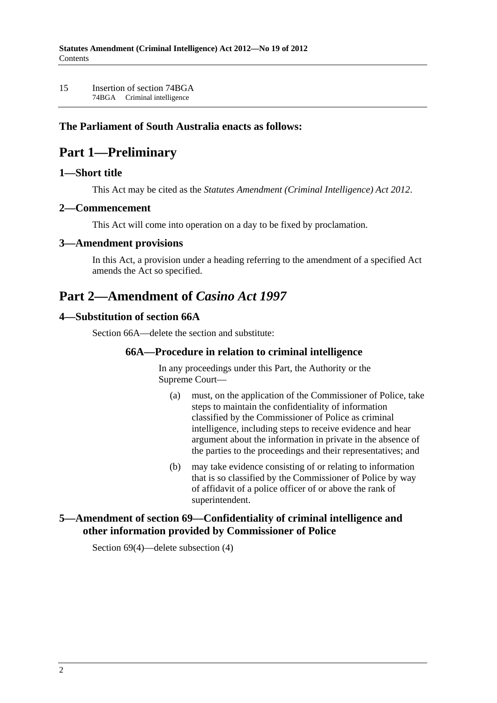<span id="page-1-0"></span>[15 Insertion of section 74BGA](#page-5-0)  [74BGA Criminal intelligence](#page-0-0) 

### **The Parliament of South Australia enacts as follows:**

# **Part 1—Preliminary**

### **1—Short title**

This Act may be cited as the *Statutes Amendment (Criminal Intelligence) Act 2012*.

#### **2—Commencement**

This Act will come into operation on a day to be fixed by proclamation.

#### **3—Amendment provisions**

In this Act, a provision under a heading referring to the amendment of a specified Act amends the Act so specified.

# **Part 2—Amendment of** *Casino Act 1997*

#### **4—Substitution of section 66A**

Section 66A—delete the section and substitute:

### **66A—Procedure in relation to criminal intelligence**

In any proceedings under this Part, the Authority or the Supreme Court—

- (a) must, on the application of the Commissioner of Police, take steps to maintain the confidentiality of information classified by the Commissioner of Police as criminal intelligence, including steps to receive evidence and hear argument about the information in private in the absence of the parties to the proceedings and their representatives; and
- (b) may take evidence consisting of or relating to information that is so classified by the Commissioner of Police by way of affidavit of a police officer of or above the rank of superintendent.

### **5—Amendment of section 69—Confidentiality of criminal intelligence and other information provided by Commissioner of Police**

Section 69(4)—delete subsection (4)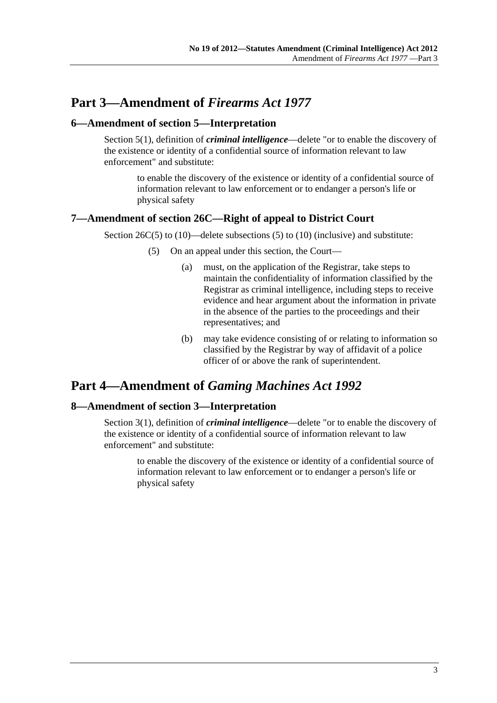# <span id="page-2-0"></span>**Part 3—Amendment of** *Firearms Act 1977*

### **6—Amendment of section 5—Interpretation**

Section 5(1), definition of *criminal intelligence*—delete "or to enable the discovery of the existence or identity of a confidential source of information relevant to law enforcement" and substitute:

to enable the discovery of the existence or identity of a confidential source of information relevant to law enforcement or to endanger a person's life or physical safety

### **7—Amendment of section 26C—Right of appeal to District Court**

Section 26C(5) to (10)—delete subsections (5) to (10) (inclusive) and substitute:

- (5) On an appeal under this section, the Court—
	- (a) must, on the application of the Registrar, take steps to maintain the confidentiality of information classified by the Registrar as criminal intelligence, including steps to receive evidence and hear argument about the information in private in the absence of the parties to the proceedings and their representatives; and
	- (b) may take evidence consisting of or relating to information so classified by the Registrar by way of affidavit of a police officer of or above the rank of superintendent.

# **Part 4—Amendment of** *Gaming Machines Act 1992*

### **8—Amendment of section 3—Interpretation**

Section 3(1), definition of *criminal intelligence*—delete "or to enable the discovery of the existence or identity of a confidential source of information relevant to law enforcement" and substitute:

to enable the discovery of the existence or identity of a confidential source of information relevant to law enforcement or to endanger a person's life or physical safety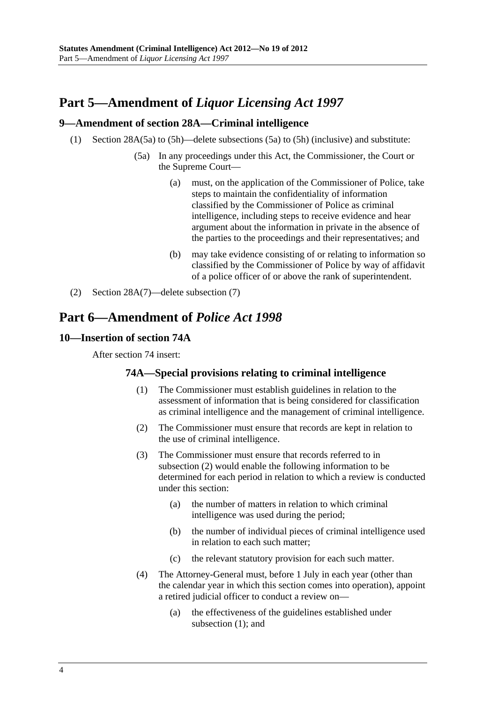# <span id="page-3-0"></span>**Part 5—Amendment of** *Liquor Licensing Act 1997*

### **9—Amendment of section 28A—Criminal intelligence**

- (1) Section 28A(5a) to (5h)—delete subsections (5a) to (5h) (inclusive) and substitute:
	- (5a) In any proceedings under this Act, the Commissioner, the Court or the Supreme Court—
		- (a) must, on the application of the Commissioner of Police, take steps to maintain the confidentiality of information classified by the Commissioner of Police as criminal intelligence, including steps to receive evidence and hear argument about the information in private in the absence of the parties to the proceedings and their representatives; and
		- (b) may take evidence consisting of or relating to information so classified by the Commissioner of Police by way of affidavit of a police officer of or above the rank of superintendent.
- (2) Section 28A(7)—delete subsection (7)

# **Part 6—Amendment of** *Police Act 1998*

### **10—Insertion of section 74A**

After section 74 insert:

### **74A—Special provisions relating to criminal intelligence**

- (1) The Commissioner must establish guidelines in relation to the assessment of information that is being considered for classification as criminal intelligence and the management of criminal intelligence.
- (2) The Commissioner must ensure that records are kept in relation to the use of criminal intelligence.
- (3) The Commissioner must ensure that records referred to in [subsection \(2\)](#page-3-0) would enable the following information to be determined for each period in relation to which a review is conducted under this section:
	- (a) the number of matters in relation to which criminal intelligence was used during the period;
	- (b) the number of individual pieces of criminal intelligence used in relation to each such matter;
	- (c) the relevant statutory provision for each such matter.
- (4) The Attorney-General must, before 1 July in each year (other than the calendar year in which this section comes into operation), appoint a retired judicial officer to conduct a review on—
	- (a) the effectiveness of the guidelines established under [subsection \(1\);](#page-3-0) and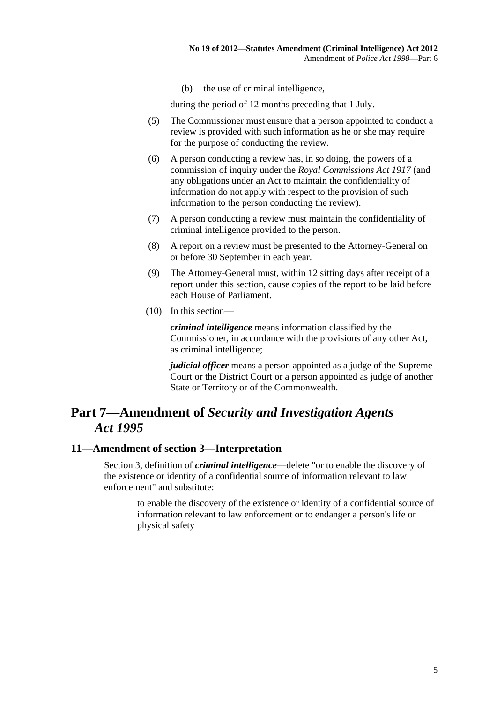(b) the use of criminal intelligence,

during the period of 12 months preceding that 1 July.

- <span id="page-4-0"></span> (5) The Commissioner must ensure that a person appointed to conduct a review is provided with such information as he or she may require for the purpose of conducting the review.
- (6) A person conducting a review has, in so doing, the powers of a commission of inquiry under the *[Royal Commissions Act 1917](http://www.legislation.sa.gov.au/index.aspx?action=legref&type=act&legtitle=Royal%20Commissions%20Act%201917)* (and any obligations under an Act to maintain the confidentiality of information do not apply with respect to the provision of such information to the person conducting the review).
- (7) A person conducting a review must maintain the confidentiality of criminal intelligence provided to the person.
- (8) A report on a review must be presented to the Attorney-General on or before 30 September in each year.
- (9) The Attorney-General must, within 12 sitting days after receipt of a report under this section, cause copies of the report to be laid before each House of Parliament.
- (10) In this section—

*criminal intelligence* means information classified by the Commissioner, in accordance with the provisions of any other Act, as criminal intelligence;

*judicial officer* means a person appointed as a judge of the Supreme Court or the District Court or a person appointed as judge of another State or Territory or of the Commonwealth.

# **Part 7—Amendment of** *Security and Investigation Agents Act 1995*

### **11—Amendment of section 3—Interpretation**

Section 3, definition of *criminal intelligence*—delete "or to enable the discovery of the existence or identity of a confidential source of information relevant to law enforcement" and substitute:

to enable the discovery of the existence or identity of a confidential source of information relevant to law enforcement or to endanger a person's life or physical safety